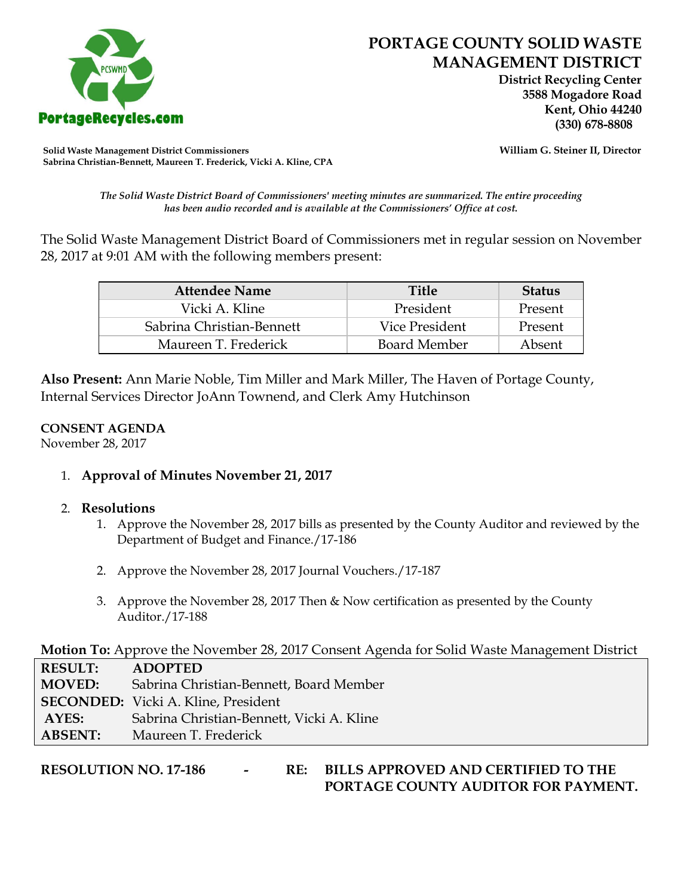

 **District Recycling Center 3588 Mogadore Road Kent, Ohio 44240**

**Solid Waste Management District Commissioners William G. Steiner II, Director Sabrina Christian-Bennett, Maureen T. Frederick, Vicki A. Kline, CPA**

*The Solid Waste District Board of Commissioners' meeting minutes are summarized. The entire proceeding has been audio recorded and is available at the Commissioners' Office at cost.*

The Solid Waste Management District Board of Commissioners met in regular session on November 28, 2017 at 9:01 AM with the following members present:

| <b>Attendee Name</b>      | <b>Title</b>        | <b>Status</b> |
|---------------------------|---------------------|---------------|
| Vicki A. Kline            | President           | Present       |
| Sabrina Christian-Bennett | Vice President      | Present       |
| Maureen T. Frederick      | <b>Board Member</b> | Absent        |

**Also Present:** Ann Marie Noble, Tim Miller and Mark Miller, The Haven of Portage County, Internal Services Director JoAnn Townend, and Clerk Amy Hutchinson

## **CONSENT AGENDA**

November 28, 2017

1. **Approval of Minutes November 21, 2017**

## 2. **Resolutions**

- 1. Approve the November 28, 2017 bills as presented by the County Auditor and reviewed by the Department of Budget and Finance./17-186
- 2. Approve the November 28, 2017 Journal Vouchers./17-187
- 3. Approve the November 28, 2017 Then & Now certification as presented by the County Auditor./17-188

**Motion To:** Approve the November 28, 2017 Consent Agenda for Solid Waste Management District

| <b>RESULT:</b> | <b>ADOPTED</b>                             |
|----------------|--------------------------------------------|
| <b>MOVED:</b>  | Sabrina Christian-Bennett, Board Member    |
|                | <b>SECONDED:</b> Vicki A. Kline, President |
| AYES:          | Sabrina Christian-Bennett, Vicki A. Kline  |
| <b>ABSENT:</b> | Maureen T. Frederick                       |

**RESOLUTION NO. 17-186 - RE: BILLS APPROVED AND CERTIFIED TO THE PORTAGE COUNTY AUDITOR FOR PAYMENT.**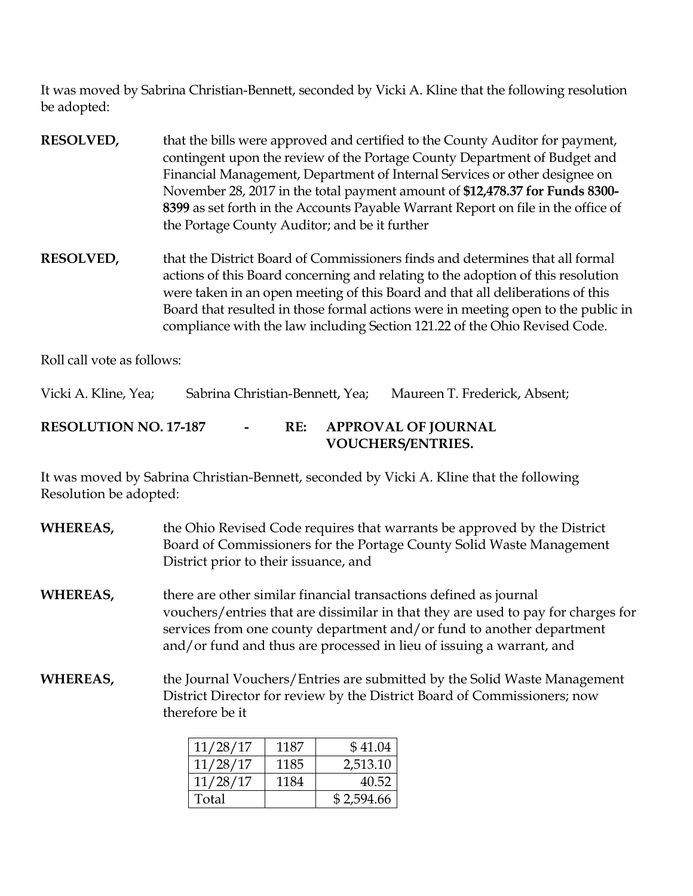It was moved by Sabrina Christian-Bennett, seconded by Vicki A. Kline that the following resolution be adopted:

- **RESOLVED,** that the bills were approved and certified to the County Auditor for payment, contingent upon the review of the Portage County Department of Budget and Financial Management, Department of Internal Services or other designee on November 28, 2017 in the total payment amount of **\$12,478.37 for Funds 8300- 8399** as set forth in the Accounts Payable Warrant Report on file in the office of the Portage County Auditor; and be it further
- **RESOLVED,** that the District Board of Commissioners finds and determines that all formal actions of this Board concerning and relating to the adoption of this resolution were taken in an open meeting of this Board and that all deliberations of this Board that resulted in those formal actions were in meeting open to the public in compliance with the law including Section 121.22 of the Ohio Revised Code.

Roll call vote as follows:

Vicki A. Kline, Yea; Sabrina Christian-Bennett, Yea; Maureen T. Frederick, Absent;

## **RESOLUTION NO. 17-187 - RE: APPROVAL OF JOURNAL VOUCHERS/ENTRIES.**

It was moved by Sabrina Christian-Bennett, seconded by Vicki A. Kline that the following Resolution be adopted:

**WHEREAS,** the Ohio Revised Code requires that warrants be approved by the District Board of Commissioners for the Portage County Solid Waste Management District prior to their issuance, and

**WHEREAS,** there are other similar financial transactions defined as journal vouchers/entries that are dissimilar in that they are used to pay for charges for services from one county department and/or fund to another department and/or fund and thus are processed in lieu of issuing a warrant, and

**WHEREAS,** the Journal Vouchers/Entries are submitted by the Solid Waste Management District Director for review by the District Board of Commissioners; now therefore be it

| 11/28/17 | 1187 | \$41.04    |
|----------|------|------------|
| 11/28/17 | 1185 | 2,513.10   |
| 11/28/17 | 1184 | 40.52      |
| Total    |      | \$2,594.66 |